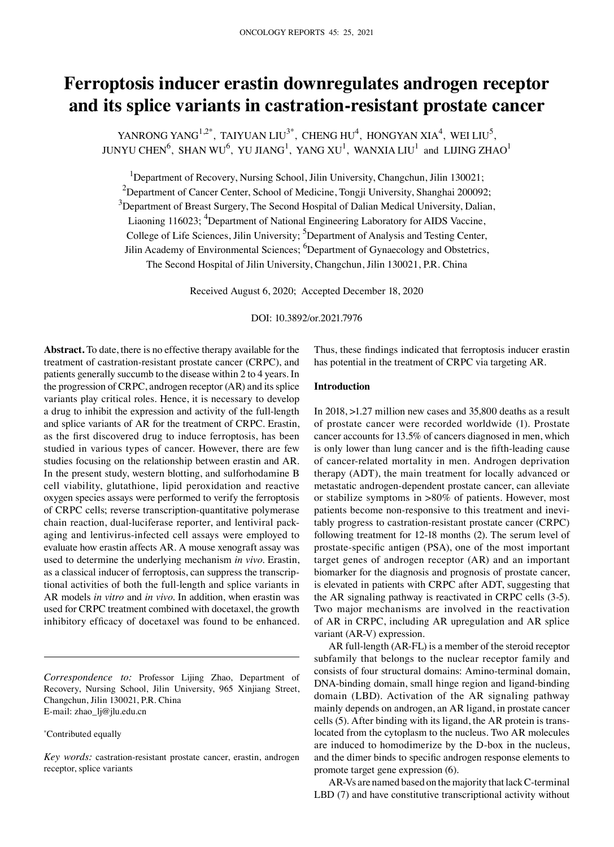# **Ferroptosis inducer erastin downregulates androgen receptor and its splice variants in castration‑resistant prostate cancer**

YANRONG YANG<sup>1,2\*</sup>, TAIYUAN LIU<sup>3\*</sup>, CHENG HU<sup>4</sup>, HONGYAN XIA<sup>4</sup>, WEI LIU<sup>5</sup>, JUNYU CHEN $^6$ , SHAN WU $^6$ , YU JIANG $^1$ , YANG XU $^1$ , WANXIA LIU $^1$  and LIJING ZHAO $^1$ 

<sup>1</sup>Department of Recovery, Nursing School, Jilin University, Changchun, Jilin 130021; <sup>2</sup>Department of Cancer Center, School of Medicine, Tongji University, Shanghai 200092;  $3$ Department of Breast Surgery, The Second Hospital of Dalian Medical University, Dalian, Liaoning 116023; <sup>4</sup>Department of National Engineering Laboratory for AIDS Vaccine, College of Life Sciences, Jilin University; <sup>5</sup>Department of Analysis and Testing Center, Jilin Academy of Environmental Sciences; <sup>6</sup>Department of Gynaecology and Obstetrics, The Second Hospital of Jilin University, Changchun, Jilin 130021, P.R. China

Received August 6, 2020; Accepted December 18, 2020

DOI: 10.3892/or.2021.7976

**Abstract.** To date, there is no effective therapy available for the treatment of castration-resistant prostate cancer (CRPC), and patients generally succumb to the disease within 2 to 4 years. In the progression of CRPC, androgen receptor (AR) and its splice variants play critical roles. Hence, it is necessary to develop a drug to inhibit the expression and activity of the full-length and splice variants of AR for the treatment of CRPC. Erastin, as the first discovered drug to induce ferroptosis, has been studied in various types of cancer. However, there are few studies focusing on the relationship between erastin and AR. In the present study, western blotting, and sulforhodamine B cell viability, glutathione, lipid peroxidation and reactive oxygen species assays were performed to verify the ferroptosis of CRPC cells; reverse transcription‑quantitative polymerase chain reaction, dual-luciferase reporter, and lentiviral packaging and lentivirus‑infected cell assays were employed to evaluate how erastin affects AR. A mouse xenograft assay was used to determine the underlying mechanism *in vivo*. Erastin, as a classical inducer of ferroptosis, can suppress the transcriptional activities of both the full-length and splice variants in AR models *in vitro* and *in vivo*. In addition, when erastin was used for CRPC treatment combined with docetaxel, the growth inhibitory efficacy of docetaxel was found to be enhanced.

*Correspondence to:* Professor Lijing Zhao, Department of Recovery, Nursing School, Jilin University, 965 Xinjiang Street, Changchun, Jilin 130021, P.R. China E‑mail: zhao\_lj@jlu.edu.cn

## \* Contributed equally

*Key words:* castration-resistant prostate cancer, erastin, androgen receptor, splice variants

Thus, these findings indicated that ferroptosis inducer erastin has potential in the treatment of CRPC via targeting AR.

## **Introduction**

In 2018, >1.27 million new cases and 35,800 deaths as a result of prostate cancer were recorded worldwide (1). Prostate cancer accounts for 13.5% of cancers diagnosed in men, which is only lower than lung cancer and is the fifth-leading cause of cancer‑related mortality in men. Androgen deprivation therapy (ADT), the main treatment for locally advanced or metastatic androgen‑dependent prostate cancer, can alleviate or stabilize symptoms in >80% of patients. However, most patients become non-responsive to this treatment and inevitably progress to castration‑resistant prostate cancer (CRPC) following treatment for 12‑18 months (2). The serum level of prostate‑specific antigen (PSA), one of the most important target genes of androgen receptor (AR) and an important biomarker for the diagnosis and prognosis of prostate cancer, is elevated in patients with CRPC after ADT, suggesting that the AR signaling pathway is reactivated in CRPC cells (3‑5). Two major mechanisms are involved in the reactivation of AR in CRPC, including AR upregulation and AR splice variant (AR-V) expression.

AR full-length (AR-FL) is a member of the steroid receptor subfamily that belongs to the nuclear receptor family and consists of four structural domains: Amino‑terminal domain, DNA‑binding domain, small hinge region and ligand‑binding domain (LBD). Activation of the AR signaling pathway mainly depends on androgen, an AR ligand, in prostate cancer cells (5). After binding with its ligand, the AR protein is translocated from the cytoplasm to the nucleus. Two AR molecules are induced to homodimerize by the D‑box in the nucleus, and the dimer binds to specific androgen response elements to promote target gene expression (6).

AR‑Vs are named based on the majority that lack C‑terminal LBD (7) and have constitutive transcriptional activity without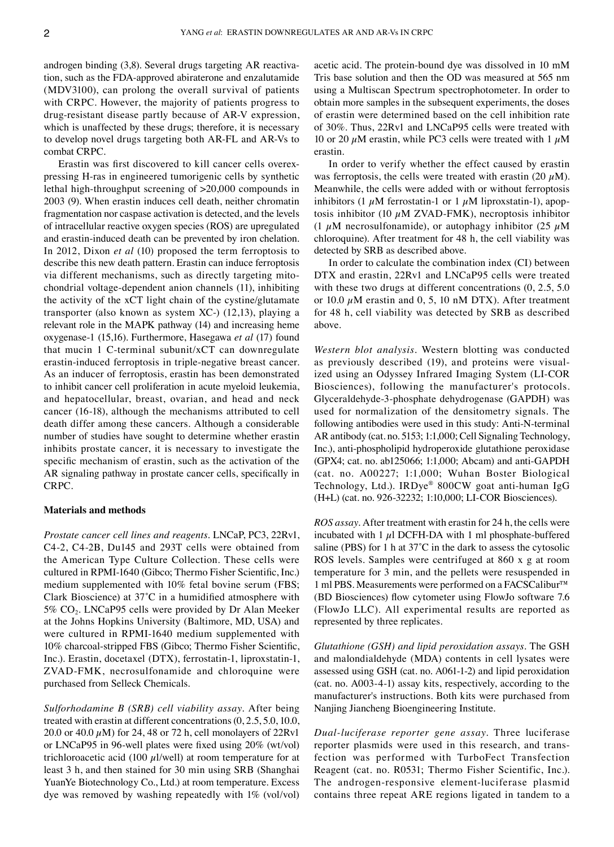androgen binding (3,8). Several drugs targeting AR reactivation, such as the FDA‑approved abiraterone and enzalutamide (MDV3100), can prolong the overall survival of patients with CRPC. However, the majority of patients progress to drug‑resistant disease partly because of AR‑V expression, which is unaffected by these drugs; therefore, it is necessary to develop novel drugs targeting both AR‑FL and AR‑Vs to combat CRPC.

Erastin was first discovered to kill cancer cells overexpressing H‑ras in engineered tumorigenic cells by synthetic lethal high-throughput screening of >20,000 compounds in 2003 (9). When erastin induces cell death, neither chromatin fragmentation nor caspase activation is detected, and the levels of intracellular reactive oxygen species (ROS) are upregulated and erastin‑induced death can be prevented by iron chelation. In 2012, Dixon *et al* (10) proposed the term ferroptosis to describe this new death pattern. Erastin can induce ferroptosis via different mechanisms, such as directly targeting mitochondrial voltage‑dependent anion channels (11), inhibiting the activity of the xCT light chain of the cystine/glutamate transporter (also known as system XC‑) (12,13), playing a relevant role in the MAPK pathway (14) and increasing heme oxygenase‑1 (15,16). Furthermore, Hasegawa *et al* (17) found that mucin 1 C-terminal subunit/ $xCT$  can downregulate erastin-induced ferroptosis in triple-negative breast cancer. As an inducer of ferroptosis, erastin has been demonstrated to inhibit cancer cell proliferation in acute myeloid leukemia, and hepatocellular, breast, ovarian, and head and neck cancer (16‑18), although the mechanisms attributed to cell death differ among these cancers. Although a considerable number of studies have sought to determine whether erastin inhibits prostate cancer, it is necessary to investigate the specific mechanism of erastin, such as the activation of the AR signaling pathway in prostate cancer cells, specifically in CRPC.

#### **Materials and methods**

*Prostate cancer cell lines and reagents.* LNCaP, PC3, 22Rv1, C4‑2, C4‑2B, Du145 and 293T cells were obtained from the American Type Culture Collection. These cells were cultured in RPMI‑1640 (Gibco; Thermo Fisher Scientific, Inc.) medium supplemented with 10% fetal bovine serum (FBS; Clark Bioscience) at 37˚C in a humidified atmosphere with  $5\%$  CO<sub>2</sub>. LNCaP95 cells were provided by Dr Alan Meeker at the Johns Hopkins University (Baltimore, MD, USA) and were cultured in RPMI-1640 medium supplemented with 10% charcoal‑stripped FBS (Gibco; Thermo Fisher Scientific, Inc.). Erastin, docetaxel (DTX), ferrostatin‑1, liproxstatin‑1, ZVAD‑FMK, necrosulfonamide and chloroquine were purchased from Selleck Chemicals.

*Sulforhodamine B (SRB) cell viability assay.* After being treated with erastin at different concentrations (0, 2.5, 5.0, 10.0, 20.0 or 40.0  $\mu$ M) for 24, 48 or 72 h, cell monolayers of 22Rv1 or LNCaP95 in 96‑well plates were fixed using 20% (wt/vol) trichloroacetic acid (100  $\mu$ l/well) at room temperature for at least 3 h, and then stained for 30 min using SRB (Shanghai YuanYe Biotechnology Co., Ltd.) at room temperature. Excess dye was removed by washing repeatedly with 1% (vol/vol) acetic acid. The protein‑bound dye was dissolved in 10 mM Tris base solution and then the OD was measured at 565 nm using a Multiscan Spectrum spectrophotometer. In order to obtain more samples in the subsequent experiments, the doses of erastin were determined based on the cell inhibition rate of 30%. Thus, 22Rv1 and LNCaP95 cells were treated with 10 or 20  $\mu$ M erastin, while PC3 cells were treated with 1  $\mu$ M erastin.

In order to verify whether the effect caused by erastin was ferroptosis, the cells were treated with erastin  $(20 \mu M)$ . Meanwhile, the cells were added with or without ferroptosis inhibitors (1  $\mu$ M ferrostatin-1 or 1  $\mu$ M liproxstatin-1), apoptosis inhibitor (10  $\mu$ M ZVAD-FMK), necroptosis inhibitor (1  $\mu$ M necrosulfonamide), or autophagy inhibitor (25  $\mu$ M chloroquine). After treatment for 48 h, the cell viability was detected by SRB as described above.

In order to calculate the combination index (CI) between DTX and erastin, 22Rv1 and LNCaP95 cells were treated with these two drugs at different concentrations  $(0, 2.5, 5.0)$ or 10.0  $\mu$ M erastin and 0, 5, 10 nM DTX). After treatment for 48 h, cell viability was detected by SRB as described above.

*Western blot analysis.* Western blotting was conducted as previously described (19), and proteins were visualized using an Odyssey Infrared Imaging System (LI‑COR Biosciences), following the manufacturer's protocols. Glyceraldehyde‑3‑phosphate dehydrogenase (GAPDH) was used for normalization of the densitometry signals. The following antibodies were used in this study: Anti-N-terminal AR antibody (cat. no. 5153; 1:1,000; Cell Signaling Technology, Inc.), anti‑phospholipid hydroperoxide glutathione peroxidase (GPX4; cat. no. ab125066; 1:1,000; Abcam) and anti‑GAPDH (cat. no. A00227; 1:1,000; Wuhan Boster Biological Technology, Ltd.). IRDye® 800CW goat anti‑human IgG (H+L) (cat. no. 926‑32232; 1:10,000; LI‑COR Biosciences).

*ROS assay.* After treatment with erastin for 24 h, the cells were incubated with  $1 \mu$ l DCFH-DA with  $1 \text{ ml}$  phosphate-buffered saline (PBS) for 1 h at 37°C in the dark to assess the cytosolic ROS levels. Samples were centrifuged at 860 x g at room temperature for 3 min, and the pellets were resuspended in 1 ml PBS. Measurements were performed on a FACSCalibur™ (BD Biosciences) flow cytometer using FlowJo software 7.6 (FlowJo LLC). All experimental results are reported as represented by three replicates.

*Glutathione (GSH) and lipid peroxidation assays.* The GSH and malondialdehyde (MDA) contents in cell lysates were assessed using GSH (cat. no. A061‑1‑2) and lipid peroxidation (cat. no. A003‑4‑1) assay kits, respectively, according to the manufacturer's instructions. Both kits were purchased from Nanjing Jiancheng Bioengineering Institute.

*Dual‑luciferase reporter gene assay.* Three luciferase reporter plasmids were used in this research, and transfection was performed with TurboFect Transfection Reagent (cat. no. R0531; Thermo Fisher Scientific, Inc.). The androgen-responsive element-luciferase plasmid contains three repeat ARE regions ligated in tandem to a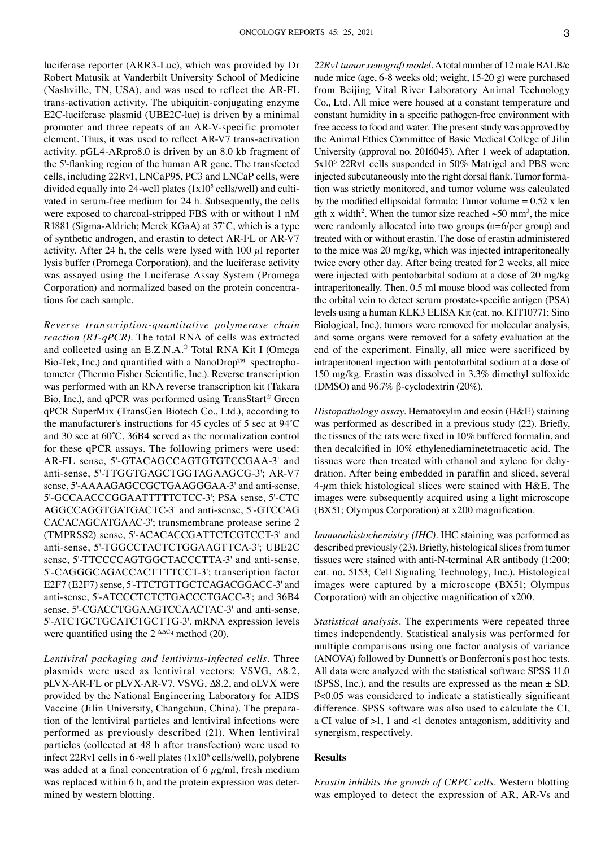luciferase reporter (ARR3‑Luc), which was provided by Dr Robert Matusik at Vanderbilt University School of Medicine (Nashville, TN, USA), and was used to reflect the AR‑FL trans‑activation activity. The ubiquitin‑conjugating enzyme E2C-luciferase plasmid (UBE2C-luc) is driven by a minimal promoter and three repeats of an AR‑V‑specific promoter element. Thus, it was used to reflect AR‑V7 trans‑activation activity. pGL4‑ARpro8.0 is driven by an 8.0 kb fragment of the 5'‑flanking region of the human AR gene. The transfected cells, including 22Rv1, LNCaP95, PC3 and LNCaP cells, were divided equally into 24-well plates  $(1x10^5 \text{ cells/well})$  and cultivated in serum-free medium for 24 h. Subsequently, the cells were exposed to charcoal-stripped FBS with or without 1 nM R1881 (Sigma‑Aldrich; Merck KGaA) at 37˚C, which is a type of synthetic androgen, and erastin to detect AR‑FL or AR‑V7 activity. After 24 h, the cells were lysed with 100  $\mu$ l reporter lysis buffer (Promega Corporation), and the luciferase activity was assayed using the Luciferase Assay System (Promega Corporation) and normalized based on the protein concentrations for each sample.

*Reverse transcription‑quantitative polymerase chain reaction (RT‑qPCR).* The total RNA of cells was extracted and collected using an E.Z.N.A.® Total RNA Kit I (Omega Bio-Tek, Inc.) and quantified with a NanoDrop™ spectrophotometer (Thermo Fisher Scientific, Inc.). Reverse transcription was performed with an RNA reverse transcription kit (Takara Bio, Inc.), and qPCR was performed using TransStart® Green qPCR SuperMix (TransGen Biotech Co., Ltd.), according to the manufacturer's instructions for 45 cycles of 5 sec at 94˚C and 30 sec at 60˚C. 36B4 served as the normalization control for these qPCR assays. The following primers were used: AR-FL sense, 5'-GTACAGCCAGTGTGTCCGAA-3' and anti‑sense, 5'‑TTGGTGAGCTGGTAGAAGCG‑3'; AR‑V7 sense, 5'-AAAAGAGCCGCTGAAGGGAA-3' and anti-sense, 5'‑GCCAACCCGGAATTTTTCTCC‑3'; PSA sense, 5'‑CTC AGGCCAGGTGATGACTC‑3' and anti‑sense, 5'‑GTCCAG CACACAGCATGAAC‑3'; transmembrane protease serine 2 (TMPRSS2) sense, 5'‑ACACACCGATTCTCGTCCT‑3' and anti‑sense, 5'‑TGGCCTACTCTGGAAGTTCA‑3'; UBE2C sense, 5'-TTCCCCAGTGGCTACCCTTA-3' and anti-sense, 5'‑CAGGGCAGACCACTTTTCCT‑3'; transcription factor E2F7 (E2F7) sense, 5'‑TTCTGTTGCTCAGACGGACC‑3' and anti-sense, 5'-ATCCCTCTCTGACCCTGACC-3'; and 36B4 sense, 5'-CGACCTGGAAGTCCAACTAC-3' and anti-sense, 5'‑ATCTGCTGCATCTGCTTG‑3'. mRNA expression levels were quantified using the  $2-\Delta\Delta Cq$  method (20).

*Lentiviral packaging and lentivirus‑infected cells.* Three plasmids were used as lentiviral vectors: VSVG, ∆8.2, pLVX‑AR‑FL or pLVX‑AR‑V7. VSVG, ∆8.2, and oLVX were provided by the National Engineering Laboratory for AIDS Vaccine (Jilin University, Changchun, China). The prepara‑ tion of the lentiviral particles and lentiviral infections were performed as previously described (21). When lentiviral particles (collected at 48 h after transfection) were used to infect  $22Rvl$  cells in 6-well plates  $(1x10<sup>6</sup>$  cells/well), polybrene was added at a final concentration of 6  $\mu$ g/ml, fresh medium was replaced within 6 h, and the protein expression was determined by western blotting.

*22Rv1 tumor xenograft model.* A total number of 12male BALB/c nude mice (age, 6‑8 weeks old; weight, 15‑20 g) were purchased from Beijing Vital River Laboratory Animal Technology Co., Ltd. All mice were housed at a constant temperature and constant humidity in a specific pathogen‑free environment with free access to food and water. The present study was approved by the Animal Ethics Committee of Basic Medical College of Jilin University (approval no. 2016045). After 1 week of adaptation, 5x106 22Rv1 cells suspended in 50% Matrigel and PBS were injected subcutaneously into the right dorsal flank. Tumor formation was strictly monitored, and tumor volume was calculated by the modified ellipsoidal formula: Tumor volume  $= 0.52$  x len gth x width<sup>2</sup>. When the tumor size reached  $\sim 50$  mm<sup>3</sup>, the mice were randomly allocated into two groups (n=6/per group) and treated with or without erastin. The dose of erastin administered to the mice was 20 mg/kg, which was injected intraperitoneally twice every other day. After being treated for 2 weeks, all mice were injected with pentobarbital sodium at a dose of 20 mg/kg intraperitoneally. Then, 0.5 ml mouse blood was collected from the orbital vein to detect serum prostate‑specific antigen (PSA) levels using a human KLK3 ELISA Kit (cat. no. KIT10771; Sino Biological, Inc.), tumors were removed for molecular analysis, and some organs were removed for a safety evaluation at the end of the experiment. Finally, all mice were sacrificed by intraperitoneal injection with pentobarbital sodium at a dose of 150 mg/kg. Erastin was dissolved in 3.3% dimethyl sulfoxide (DMSO) and  $96.7\%$  β-cyclodextrin (20%).

*Histopathology assay.* Hematoxylin and eosin (H&E) staining was performed as described in a previous study (22). Briefly, the tissues of the rats were fixed in 10% buffered formalin, and then decalcified in 10% ethylenediaminetetraacetic acid. The tissues were then treated with ethanol and xylene for dehydration. After being embedded in paraffin and sliced, several  $4\text{-}\mu$ m thick histological slices were stained with H&E. The images were subsequently acquired using a light microscope (BX51; Olympus Corporation) at x200 magnification.

*Immunohistochemistry (IHC).* IHC staining was performed as described previously (23). Briefly, histological slices from tumor tissues were stained with anti-N-terminal AR antibody (1:200; cat. no. 5153; Cell Signaling Technology, Inc.). Histological images were captured by a microscope (BX51; Olympus Corporation) with an objective magnification of x200.

*Statistical analysis.* The experiments were repeated three times independently. Statistical analysis was performed for multiple comparisons using one factor analysis of variance (ANOVA) followed by Dunnett's or Bonferroni's post hoc tests. All data were analyzed with the statistical software SPSS 11.0 (SPSS, Inc.), and the results are expressed as the mean  $\pm$  SD. P<0.05 was considered to indicate a statistically significant difference. SPSS software was also used to calculate the CI, a CI value of >1, 1 and <1 denotes antagonism, additivity and synergism, respectively.

## **Results**

*Erastin inhibits the growth of CRPC cells.* Western blotting was employed to detect the expression of AR, AR‑Vs and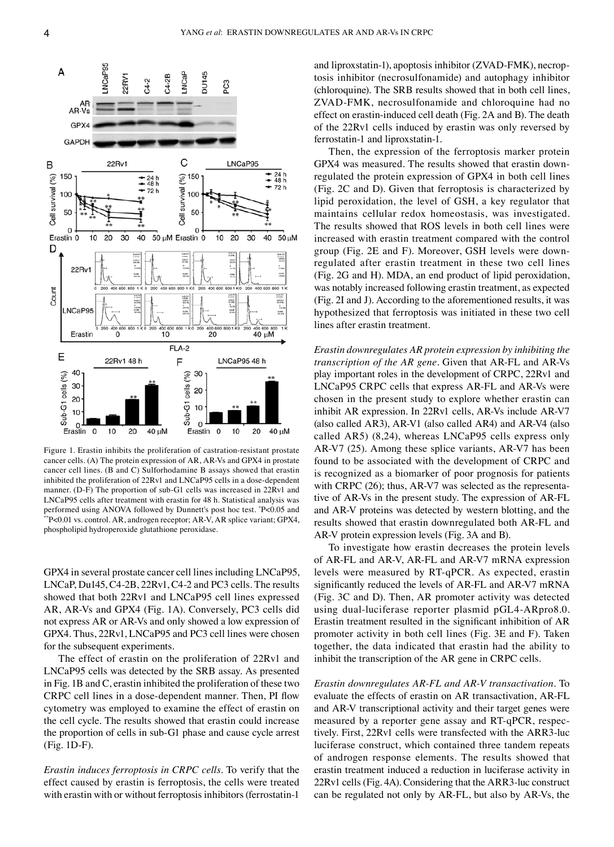

Figure 1. Erastin inhibits the proliferation of castration-resistant prostate cancer cells. (A) The protein expression of AR, AR‑Vs and GPX4 in prostate cancer cell lines. (B and C) Sulforhodamine B assays showed that erastin inhibited the proliferation of 22Rv1 and LNCaP95 cells in a dose-dependent manner. (D-F) The proportion of sub-G1 cells was increased in 22Rv1 and LNCaP95 cells after treatment with erastin for 48 h. Statistical analysis was performed using ANOVA followed by Dunnett's post hoc test. \*P<0.05 and \*P<0.01 vs. control. AR, androgen receptor; AR-V, AR splice variant; GPX4, phospholipid hydroperoxide glutathione peroxidase.

GPX4 in several prostate cancer cell lines including LNCaP95, LNCaP, Du145, C4‑2B, 22Rv1, C4‑2 and PC3 cells. The results showed that both 22Rv1 and LNCaP95 cell lines expressed AR, AR‑Vs and GPX4 (Fig. 1A). Conversely, PC3 cells did not express AR or AR‑Vs and only showed a low expression of GPX4. Thus, 22Rv1, LNCaP95 and PC3 cell lines were chosen for the subsequent experiments.

The effect of erastin on the proliferation of 22Rv1 and LNCaP95 cells was detected by the SRB assay. As presented in Fig. 1B and C, erastin inhibited the proliferation of these two CRPC cell lines in a dose‑dependent manner. Then, PI flow cytometry was employed to examine the effect of erastin on the cell cycle. The results showed that erastin could increase the proportion of cells in sub‑G1 phase and cause cycle arrest (Fig. 1D‑F).

*Erastin induces ferroptosis in CRPC cells.* To verify that the effect caused by erastin is ferroptosis, the cells were treated with erastin with or without ferroptosis inhibitors (ferrostatin-1)

and liproxstatin-1), apoptosis inhibitor (ZVAD-FMK), necroptosis inhibitor (necrosulfonamide) and autophagy inhibitor (chloroquine). The SRB results showed that in both cell lines, ZVAD‑FMK, necrosulfonamide and chloroquine had no effect on erastin‑induced cell death (Fig. 2A and B). The death of the 22Rv1 cells induced by erastin was only reversed by ferrostatin‑1 and liproxstatin‑1.

Then, the expression of the ferroptosis marker protein GPX4 was measured. The results showed that erastin downregulated the protein expression of GPX4 in both cell lines (Fig. 2C and D). Given that ferroptosis is characterized by lipid peroxidation, the level of GSH, a key regulator that maintains cellular redox homeostasis, was investigated. The results showed that ROS levels in both cell lines were increased with erastin treatment compared with the control group (Fig. 2E and F). Moreover, GSH levels were downregulated after erastin treatment in these two cell lines (Fig. 2G and H). MDA, an end product of lipid peroxidation, was notably increased following erastin treatment, as expected (Fig. 2I and J). According to the aforementioned results, it was hypothesized that ferroptosis was initiated in these two cell lines after erastin treatment.

*Erastin downregulates AR protein expression by inhibiting the transcription of the AR gene.* Given that AR‑FL and AR‑Vs play important roles in the development of CRPC, 22Rv1 and LNCaP95 CRPC cells that express AR‑FL and AR‑Vs were chosen in the present study to explore whether erastin can inhibit AR expression. In 22Rv1 cells, AR‑Vs include AR‑V7 (also called AR3), AR‑V1 (also called AR4) and AR‑V4 (also called AR5) (8,24), whereas LNCaP95 cells express only AR‑V7 (25). Among these splice variants, AR‑V7 has been found to be associated with the development of CRPC and is recognized as a biomarker of poor prognosis for patients with CRPC (26); thus, AR-V7 was selected as the representative of AR‑Vs in the present study. The expression of AR‑FL and AR‑V proteins was detected by western blotting, and the results showed that erastin downregulated both AR‑FL and AR-V protein expression levels (Fig. 3A and B).

To investigate how erastin decreases the protein levels of AR‑FL and AR‑V, AR‑FL and AR‑V7 mRNA expression levels were measured by RT‑qPCR. As expected, erastin significantly reduced the levels of AR‑FL and AR‑V7 mRNA (Fig. 3C and D). Then, AR promoter activity was detected using dual-luciferase reporter plasmid pGL4-ARpro8.0. Erastin treatment resulted in the significant inhibition of AR promoter activity in both cell lines (Fig. 3E and F). Taken together, the data indicated that erastin had the ability to inhibit the transcription of the AR gene in CRPC cells.

*Erastin downregulates AR‑FL and AR‑V transactivation.* To evaluate the effects of erastin on AR transactivation, AR‑FL and AR‑V transcriptional activity and their target genes were measured by a reporter gene assay and RT-qPCR, respectively. First, 22Rv1 cells were transfected with the ARR3‑luc luciferase construct, which contained three tandem repeats of androgen response elements. The results showed that erastin treatment induced a reduction in luciferase activity in 22Rv1 cells (Fig. 4A). Considering that the ARR3‑luc construct can be regulated not only by AR‑FL, but also by AR‑Vs, the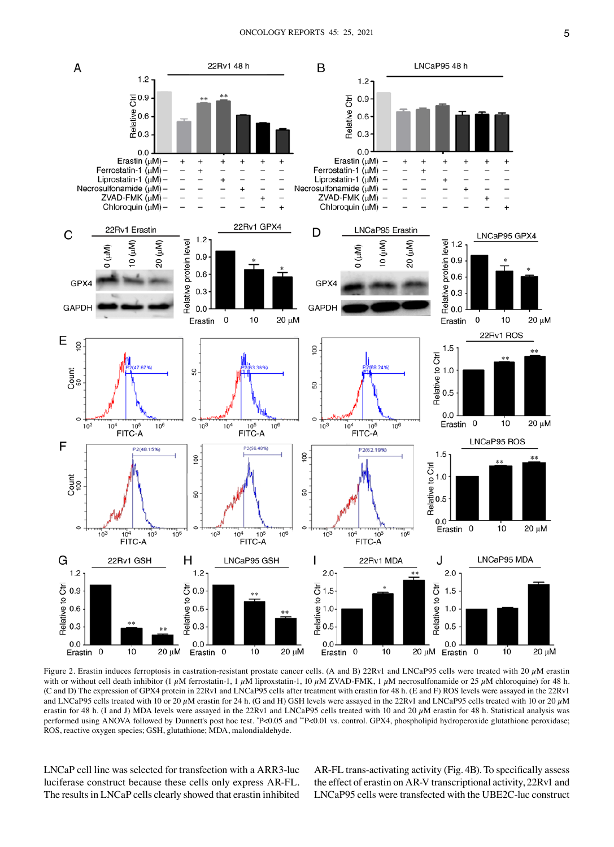

Figure 2. Erastin induces ferroptosis in castration-resistant prostate cancer cells. (A and B) 22Rv1 and LNCaP95 cells were treated with 20  $\mu$ M erastin with or without cell death inhibitor (1  $\mu$ M ferrostatin-1, 1  $\mu$ M liproxstatin-1, 10  $\mu$ M ZVAD-FMK, 1  $\mu$ M necrosulfonamide or 25  $\mu$ M chloroquine) for 48 h. (C and D) The expression of GPX4 protein in 22Rv1 and LNCaP95 cells after treatment with erastin for 48 h. (E and F) ROS levels were assayed in the 22Rv1 and LNCaP95 cells treated with 10 or 20  $\mu$ M erastin for 24 h. (G and H) GSH levels were assayed in the 22Rv1 and LNCaP95 cells treated with 10 or 20  $\mu$ M erastin for 48 h. (I and J) MDA levels were assayed in the 22Rv1 and LNCaP95 cells treated with 10 and 20  $\mu$ M erastin for 48 h. Statistical analysis was performed using ANOVA followed by Dunnett's post hoc test. "P<0.05 and ""P<0.01 vs. control. GPX4, phospholipid hydroperoxide glutathione peroxidase; ROS, reactive oxygen species; GSH, glutathione; MDA, malondialdehyde.

LNCaP cell line was selected for transfection with a ARR3‑luc luciferase construct because these cells only express AR‑FL. The results in LNCaP cells clearly showed that erastin inhibited AR-FL trans-activating activity (Fig. 4B). To specifically assess the effect of erastin on AR‑V transcriptional activity, 22Rv1 and LNCaP95 cells were transfected with the UBE2C‑luc construct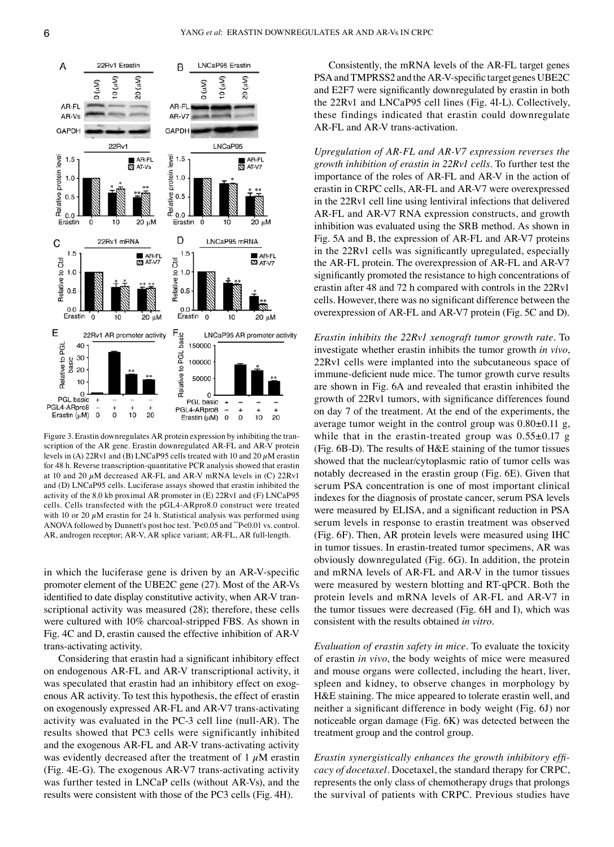

Figure 3. Erastin downregulates AR protein expression by inhibiting the tran‑ scription of the AR gene. Erastin downregulated AR‑FL and AR‑V protein levels in (A) 22Rv1 and (B) LNCaP95 cells treated with 10 and 20  $\mu$ M erastin for 48 h. Reverse transcription‑quantitative PCR analysis showed that erastin at 10 and 20  $\mu$ M decreased AR-FL and AR-V mRNA levels in (C) 22Rv1 and (D) LNCaP95 cells. Luciferase assays showed that erastin inhibited the activity of the 8.0 kb proximal AR promoter in (E) 22Rv1 and (F) LNCaP95 cells. Cells transfected with the pGL4‑ARpro8.0 construct were treated with 10 or 20  $\mu$ M erastin for 24 h. Statistical analysis was performed using ANOVA followed by Dunnett's post hoc test. \* P<0.05 and \*\*P<0.01 vs. control. AR, androgen receptor; AR-V, AR splice variant; AR-FL, AR full-length.

in which the luciferase gene is driven by an AR-V-specific promoter element of the UBE2C gene (27). Most of the AR‑Vs identified to date display constitutive activity, when AR-V transcriptional activity was measured (28); therefore, these cells were cultured with 10% charcoal-stripped FBS. As shown in Fig. 4C and D, erastin caused the effective inhibition of AR‑V trans‑activating activity.

Considering that erastin had a significant inhibitory effect on endogenous AR‑FL and AR‑V transcriptional activity, it was speculated that erastin had an inhibitory effect on exogenous AR activity. To test this hypothesis, the effect of erastin on exogenously expressed AR‑FL and AR‑V7 trans‑activating activity was evaluated in the PC‑3 cell line (null‑AR). The results showed that PC3 cells were significantly inhibited and the exogenous AR‑FL and AR‑V trans‑activating activity was evidently decreased after the treatment of  $1 \mu$ M erastin (Fig. 4E‑G). The exogenous AR‑V7 trans‑activating activity was further tested in LNCaP cells (without AR‑Vs), and the results were consistent with those of the PC3 cells (Fig. 4H).

Consistently, the mRNA levels of the AR‑FL target genes PSA and TMPRSS2 and the AR‑V‑specific target genes UBE2C and E2F7 were significantly downregulated by erastin in both the 22Rv1 and LNCaP95 cell lines (Fig. 4I‑L). Collectively, these findings indicated that erastin could downregulate AR-FL and AR-V trans-activation.

*Upregulation of AR‑FL and AR‑V7 expression reverses the growth inhibition of erastin in 22Rv1 cells.* To further test the importance of the roles of AR‑FL and AR‑V in the action of erastin in CRPC cells, AR‑FL and AR‑V7 were overexpressed in the 22Rv1 cell line using lentiviral infections that delivered AR-FL and AR-V7 RNA expression constructs, and growth inhibition was evaluated using the SRB method. As shown in Fig. 5A and B, the expression of AR-FL and AR-V7 proteins in the 22Rv1 cells was significantly upregulated, especially the AR-FL protein. The overexpression of AR-FL and AR-V7 significantly promoted the resistance to high concentrations of erastin after 48 and 72 h compared with controls in the 22Rv1 cells. However, there was no significant difference between the overexpression of AR‑FL and AR‑V7 protein (Fig. 5C and D).

*Erastin inhibits the 22Rv1 xenograft tumor growth rate.* To investigate whether erastin inhibits the tumor growth *in vivo*, 22Rv1 cells were implanted into the subcutaneous space of immune‑deficient nude mice. The tumor growth curve results are shown in Fig. 6A and revealed that erastin inhibited the growth of 22Rv1 tumors, with significance differences found on day 7 of the treatment. At the end of the experiments, the average tumor weight in the control group was  $0.80\pm0.11$  g, while that in the erastin-treated group was  $0.55\pm0.17$  g (Fig. 6B‑D). The results of H&E staining of the tumor tissues showed that the nuclear/cytoplasmic ratio of tumor cells was notably decreased in the erastin group (Fig. 6E). Given that serum PSA concentration is one of most important clinical indexes for the diagnosis of prostate cancer, serum PSA levels were measured by ELISA, and a significant reduction in PSA serum levels in response to erastin treatment was observed (Fig. 6F). Then, AR protein levels were measured using IHC in tumor tissues. In erastin-treated tumor specimens, AR was obviously downregulated (Fig. 6G). In addition, the protein and mRNA levels of AR‑FL and AR‑V in the tumor tissues were measured by western blotting and RT‑qPCR. Both the protein levels and mRNA levels of AR‑FL and AR‑V7 in the tumor tissues were decreased (Fig. 6H and I), which was consistent with the results obtained *in vitro*.

*Evaluation of erastin safety in mice.* To evaluate the toxicity of erastin *in vivo*, the body weights of mice were measured and mouse organs were collected, including the heart, liver, spleen and kidney, to observe changes in morphology by H&E staining. The mice appeared to tolerate erastin well, and neither a significant difference in body weight (Fig. 6J) nor noticeable organ damage (Fig. 6K) was detected between the treatment group and the control group.

*Erastin synergistically enhances the growth inhibitory effi‑ cacy of docetaxel.* Docetaxel, the standard therapy for CRPC, represents the only class of chemotherapy drugs that prolongs the survival of patients with CRPC. Previous studies have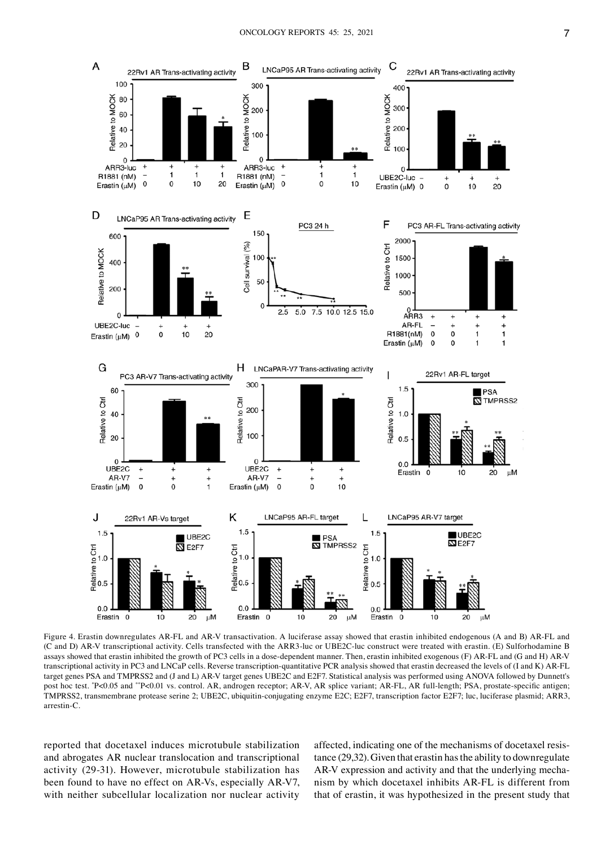

Figure 4. Erastin downregulates AR-FL and AR-V transactivation. A luciferase assay showed that erastin inhibited endogenous (A and B) AR-FL and (C and D) AR‑V transcriptional activity. Cells transfected with the ARR3‑luc or UBE2C‑luc construct were treated with erastin. (E) Sulforhodamine B assays showed that erastin inhibited the growth of PC3 cells in a dose-dependent manner. Then, erastin inhibited exogenous (F) AR-FL and (G and H) AR-V transcriptional activity in PC3 and LNCaP cells. Reverse transcription-quantitative PCR analysis showed that erastin decreased the levels of (I and K) AR-FL target genes PSA and TMPRSS2 and (J and L) AR‑V target genes UBE2C and E2F7. Statistical analysis was performed using ANOVA followed by Dunnett's post hoc test. \*P<0.05 and \*\*P<0.01 vs. control. AR, androgen receptor; AR-V, AR splice variant; AR-FL, AR full-length; PSA, prostate-specific antigen; TMPRSS2, transmembrane protease serine 2; UBE2C, ubiquitin‑conjugating enzyme E2C; E2F7, transcription factor E2F7; luc, luciferase plasmid; ARR3, arrestin‑C.

reported that docetaxel induces microtubule stabilization and abrogates AR nuclear translocation and transcriptional activity (29‑31). However, microtubule stabilization has been found to have no effect on AR‑Vs, especially AR‑V7, with neither subcellular localization nor nuclear activity affected, indicating one of the mechanisms of docetaxel resistance (29,32). Given that erastin has the ability to downregulate AR-V expression and activity and that the underlying mechanism by which docetaxel inhibits AR‑FL is different from that of erastin, it was hypothesized in the present study that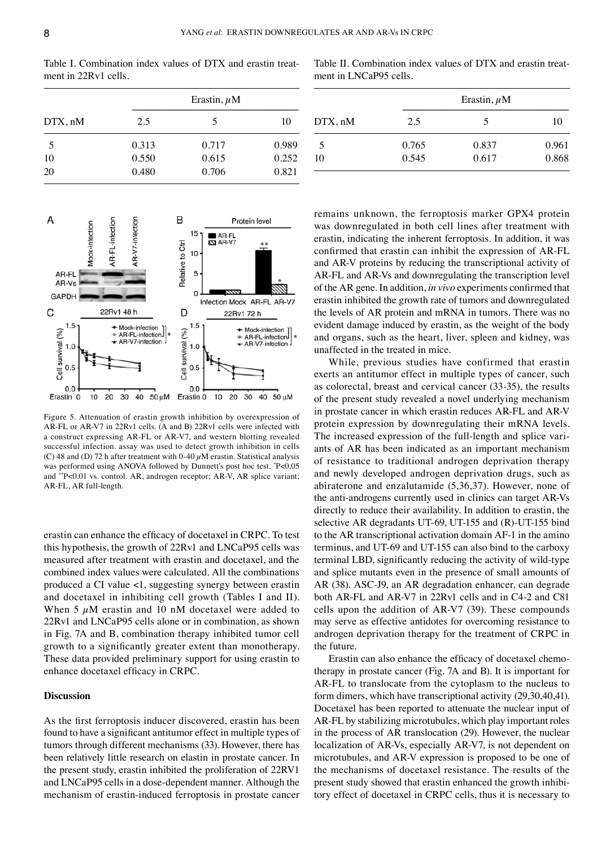Table I. Combination index values of DTX and erastin treatment in 22Rv1 cells.

| DTX, nM | Erastin, $\mu$ M |       |       |  |
|---------|------------------|-------|-------|--|
|         | 2.5              | 5     | 10    |  |
| 5       | 0.313            | 0.717 | 0.989 |  |
| 10      | 0.550            | 0.615 | 0.252 |  |
| 20      | 0.480            | 0.706 | 0.821 |  |

Table II. Combination index values of DTX and erastin treatment in LNCaP95 cells.

| DTX, nM | Erastin, $\mu$ M |       |       |
|---------|------------------|-------|-------|
|         | 2.5              | 5     | ю     |
| 5       | 0.765            | 0.837 | 0.961 |
| 10      | 0.545            | 0.617 | 0.868 |



Figure 5. Attenuation of erastin growth inhibition by overexpression of AR‑FL or AR‑V7 in 22Rv1 cells. (A and B) 22Rv1 cells were infected with a construct expressing AR‑FL or AR‑V7, and western blotting revealed successful infection. assay was used to detect growth inhibition in cells (C) 48 and (D) 72 h after treatment with 0-40  $\mu$ M erastin. Statistical analysis was performed using ANOVA followed by Dunnett's post hoc test. \* P<0.05 and \*\*P<0.01 vs. control. AR, androgen receptor; AR‑V, AR splice variant; AR-FL, AR full-length.

erastin can enhance the efficacy of docetaxel in CRPC. To test this hypothesis, the growth of 22Rv1 and LNCaP95 cells was measured after treatment with erastin and docetaxel, and the combined index values were calculated. All the combinations produced a CI value <1, suggesting synergy between erastin and docetaxel in inhibiting cell growth (Tables I and II). When 5  $\mu$ M erastin and 10 nM docetaxel were added to 22Rv1 and LNCaP95 cells alone or in combination, as shown in Fig. 7A and B, combination therapy inhibited tumor cell growth to a significantly greater extent than monotherapy. These data provided preliminary support for using erastin to enhance docetaxel efficacy in CRPC.

#### **Discussion**

As the first ferroptosis inducer discovered, erastin has been found to have a significant antitumor effect in multiple types of tumors through different mechanisms (33). However, there has been relatively little research on elastin in prostate cancer. In the present study, erastin inhibited the proliferation of 22RV1 and LNCaP95 cells in a dose‑dependent manner. Although the mechanism of erastin‑induced ferroptosis in prostate cancer remains unknown, the ferroptosis marker GPX4 protein was downregulated in both cell lines after treatment with erastin, indicating the inherent ferroptosis. In addition, it was confirmed that erastin can inhibit the expression of AR‑FL and AR‑V proteins by reducing the transcriptional activity of AR‑FL and AR‑Vs and downregulating the transcription level of the AR gene. In addition, *in vivo* experiments confirmed that erastin inhibited the growth rate of tumors and downregulated the levels of AR protein and mRNA in tumors. There was no evident damage induced by erastin, as the weight of the body and organs, such as the heart, liver, spleen and kidney, was unaffected in the treated in mice.

While, previous studies have confirmed that erastin exerts an antitumor effect in multiple types of cancer, such as colorectal, breast and cervical cancer (33‑35), the results of the present study revealed a novel underlying mechanism in prostate cancer in which erastin reduces AR-FL and AR-V protein expression by downregulating their mRNA levels. The increased expression of the full-length and splice variants of AR has been indicated as an important mechanism of resistance to traditional androgen deprivation therapy and newly developed androgen deprivation drugs, such as abiraterone and enzalutamide (5,36,37). However, none of the anti-androgens currently used in clinics can target AR-Vs directly to reduce their availability. In addition to erastin, the selective AR degradants UT-69, UT-155 and (R)-UT-155 bind to the AR transcriptional activation domain AF‑1 in the amino terminus, and UT‑69 and UT‑155 can also bind to the carboxy terminal LBD, significantly reducing the activity of wild-type and splice mutants even in the presence of small amounts of AR (38). ASC‑J9, an AR degradation enhancer, can degrade both AR‑FL and AR‑V7 in 22Rv1 cells and in C4‑2 and C81 cells upon the addition of AR‑V7 (39). These compounds may serve as effective antidotes for overcoming resistance to androgen deprivation therapy for the treatment of CRPC in the future.

Erastin can also enhance the efficacy of docetaxel chemotherapy in prostate cancer (Fig. 7A and B). It is important for AR-FL to translocate from the cytoplasm to the nucleus to form dimers, which have transcriptional activity (29,30,40,41). Docetaxel has been reported to attenuate the nuclear input of AR‑FL by stabilizing microtubules, which play important roles in the process of AR translocation (29). However, the nuclear localization of AR-Vs, especially AR-V7, is not dependent on microtubules, and AR‑V expression is proposed to be one of the mechanisms of docetaxel resistance. The results of the present study showed that erastin enhanced the growth inhibitory effect of docetaxel in CRPC cells, thus it is necessary to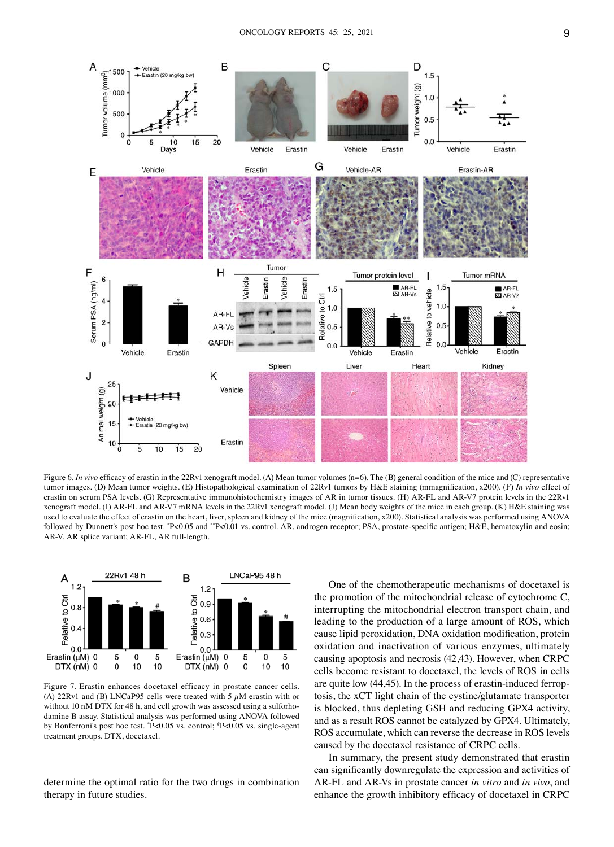

Figure 6. *In vivo* efficacy of erastin in the 22Rv1 xenograft model. (A) Mean tumor volumes (n=6). The (B) general condition of the mice and (C) representative tumor images. (D) Mean tumor weights. (E) Histopathological examination of 22Rv1 tumors by H&E staining (mmagnification, x200). (F) *In vivo* effect of erastin on serum PSA levels. (G) Representative immunohistochemistry images of AR in tumor tissues. (H) AR-FL and AR-V7 protein levels in the 22Rv1 xenograft model. (I) AR‑FL and AR‑V7 mRNA levels in the 22Rv1 xenograft model. (J) Mean body weights of the mice in each group. (K) H&E staining was used to evaluate the effect of erastin on the heart, liver, spleen and kidney of the mice (magnification, x200). Statistical analysis was performed using ANOVA followed by Dunnett's post hoc test. \*P<0.05 and \*\*P<0.01 vs. control. AR, androgen receptor; PSA, prostate-specific antigen; H&E, hematoxylin and eosin; AR-V, AR splice variant; AR-FL, AR full-length.



Figure 7. Erastin enhances docetaxel efficacy in prostate cancer cells. (A) 22Rv1 and (B) LNCaP95 cells were treated with 5  $\mu$ M erastin with or without 10 nM DTX for 48 h, and cell growth was assessed using a sulforhodamine B assay. Statistical analysis was performed using ANOVA followed by Bonferroni's post hoc test. \*P<0.05 vs. control; \*P<0.05 vs. single-agent treatment groups. DTX, docetaxel.

determine the optimal ratio for the two drugs in combination therapy in future studies.

One of the chemotherapeutic mechanisms of docetaxel is the promotion of the mitochondrial release of cytochrome C, interrupting the mitochondrial electron transport chain, and leading to the production of a large amount of ROS, which cause lipid peroxidation, DNA oxidation modification, protein oxidation and inactivation of various enzymes, ultimately causing apoptosis and necrosis (42,43). However, when CRPC cells become resistant to docetaxel, the levels of ROS in cells are quite low (44,45). In the process of erastin-induced ferroptosis, the xCT light chain of the cystine/glutamate transporter is blocked, thus depleting GSH and reducing GPX4 activity, and as a result ROS cannot be catalyzed by GPX4. Ultimately, ROS accumulate, which can reverse the decrease in ROS levels caused by the docetaxel resistance of CRPC cells.

In summary, the present study demonstrated that erastin can significantly downregulate the expression and activities of AR‑FL and AR‑Vs in prostate cancer *in vitro* and *in vivo*, and enhance the growth inhibitory efficacy of docetaxel in CRPC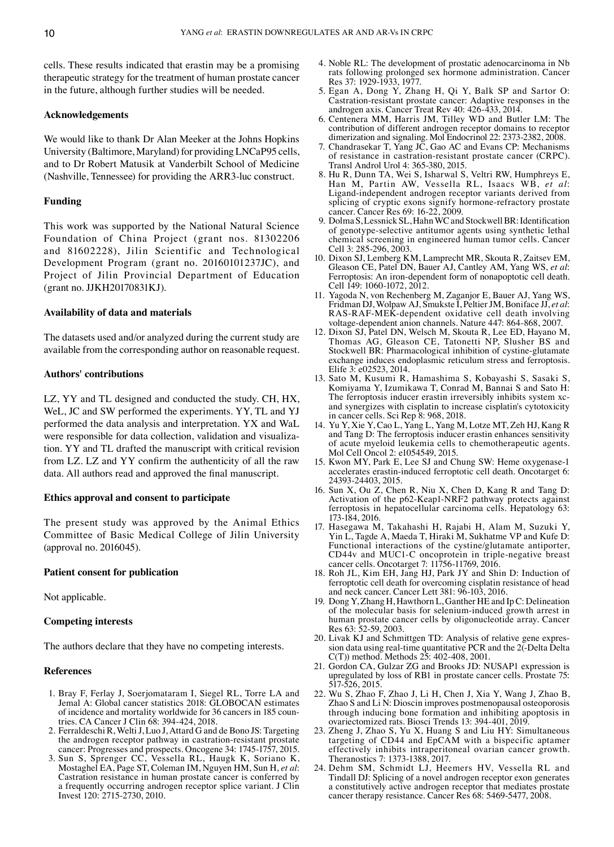cells. These results indicated that erastin may be a promising therapeutic strategy for the treatment of human prostate cancer in the future, although further studies will be needed.

#### **Acknowledgements**

We would like to thank Dr Alan Meeker at the Johns Hopkins University (Baltimore, Maryland) for providing LNCaP95 cells, and to Dr Robert Matusik at Vanderbilt School of Medicine (Nashville, Tennessee) for providing the ARR3‑luc construct.

## **Funding**

This work was supported by the National Natural Science Foundation of China Project (grant nos. 81302206 and 81602228), Jilin Scientific and Technological Development Program (grant no. 20160101237JC), and Project of Jilin Provincial Department of Education (grant no. JJKH20170831KJ).

#### **Availability of data and materials**

The datasets used and/or analyzed during the current study are available from the corresponding author on reasonable request.

# **Authors' contributions**

LZ, YY and TL designed and conducted the study. CH, HX, WeL, JC and SW performed the experiments. YY, TL and YJ performed the data analysis and interpretation. YX and WaL were responsible for data collection, validation and visualization. YY and TL drafted the manuscript with critical revision from LZ. LZ and YY confirm the authenticity of all the raw data. All authors read and approved the final manuscript.

# **Ethics approval and consent to participate**

The present study was approved by the Animal Ethics Committee of Basic Medical College of Jilin University (approval no. 2016045).

## **Patient consent for publication**

Not applicable.

# **Competing interests**

The authors declare that they have no competing interests.

## **References**

- 1. Bray F, Ferlay J, Soerjomataram I, Siegel RL, Torre LA and Jemal A: Global cancer statistics 2018: GLOBOCAN estimates of incidence and mortality worldwide for 36 cancers in 185 countries. CA Cancer J Clin 68: 394-424, 2018.
- 2. Ferraldeschi R, Welti J, Luo J, Attard G and de Bono JS: Targeting the androgen receptor pathway in castration-resistant prostate cancer: Progresses and prospects. Oncogene 34: 1745-1757, 2015.
- 3. Sun S, Sprenger CC, Vessella RL, Haugk K, Soriano K, Mostaghel EA, Page ST, Coleman IM, Nguyen HM, Sun H, *et al*: Castration resistance in human prostate cancer is conferred by a frequently occurring androgen receptor splice variant. J Clin Invest 120: 2715‑2730, 2010.
- 4. Noble RL: The development of prostatic adenocarcinoma in Nb rats following prolonged sex hormone administration. Cancer Res 37: 1929‑1933, 1977.
- 5. Egan A, Dong Y, Zhang H, Qi Y, Balk SP and Sartor O: Castration‑resistant prostate cancer: Adaptive responses in the androgen axis. Cancer Treat Rev 40: 426-433, 2014.
- 6. Centenera MM, Harris JM, Tilley WD and Butler LM: The contribution of different androgen receptor domains to receptor dimerization and signaling. Mol Endocrinol 22: 2373‑2382, 2008.
- 7. Chandrasekar T, Yang JC, Gao AC and Evans CP: Mechanisms of resistance in castration‑resistant prostate cancer (CRPC). Transl Androl Urol 4: 365‑380, 2015.
- 8. Hu R, Dunn TA, Wei S, Isharwal S, Veltri RW, Humphreys E, Han M, Partin AW, Vessella RL, Isaacs WB, et al: Ligand-independent androgen receptor variants derived from splicing of cryptic exons signify hormone-refractory prostate cancer. Cancer Res 69: 16‑22, 2009.
- 9. Dolma S, Lessnick SL, Hahn WC and Stockwell BR: Identification of genotype‑selective antitumor agents using synthetic lethal chemical screening in engineered human tumor cells. Cancer Cell 3: 285‑296, 2003.
- 10. Dixon SJ, Lemberg KM, Lamprecht MR, Skouta R, Zaitsev EM, Gleason CE, Patel DN, Bauer AJ, Cantley AM, Yang WS, *et al*: Ferroptosis: An iron‑dependent form of nonapoptotic cell death. Cell 149: 1060-1072, 2012.
- 11. Yagoda N, von Rechenberg M, Zaganjor E, Bauer AJ, Yang WS, Fridman DJ, Wolpaw AJ, Smukste I, PeltierJM, Boniface JJ, *et al*: RAS‑RAF‑MEK‑dependent oxidative cell death involving voltage‑dependent anion channels. Nature 447: 864‑868, 2007.
- 12. Dixon SJ, Patel DN, Welsch M, Skouta R, Lee ED, Hayano M, Thomas AG, Gleason CE, Tatonetti NP, Slusher BS and Stockwell BR: Pharmacological inhibition of cystine‑glutamate exchange induces endoplasmic reticulum stress and ferroptosis. Elife 3: e02523, 2014.
- 13. Sato M, Kusumi R, Hamashima S, Kobayashi S, Sasaki S, Komiyama Y, Izumikawa T, Conrad M, Bannai S and Sato H: The ferroptosis inducer erastin irreversibly inhibits system xcand synergizes with cisplatin to increase cisplatin's cytotoxicity in cancer cells. Sci Rep 8: 968, 2018.
- 14. Yu Y, Xie Y, Cao L, Yang L, Yang M, Lotze MT, Zeh HJ, Kang R and Tang D: The ferroptosis inducer erastin enhances sensitivity of acute myeloid leukemia cells to chemotherapeutic agents. Mol Cell Oncol 2: e1054549, 2015.
- 15. Kwon MY, Park E, Lee SJ and Chung SW: Heme oxygenase‑1 accelerates erastin‑induced ferroptotic cell death. Oncotarget 6: 24393‑24403, 2015.
- 16. Sun X, Ou Z, Chen R, Niu X, Chen D, Kang R and Tang D: Activation of the p62‑Keap1‑NRF2 pathway protects against ferroptosis in hepatocellular carcinoma cells. Hepatology 63: 173‑184, 2016.
- 17. Hasegawa M, Takahashi H, Rajabi H, Alam M, Suzuki Y, Yin L, Tagde A, Maeda T, Hiraki M, Sukhatme VP and Kufe D: Functional interactions of the cystine/glutamate antiporter, CD44v and MUC1‑C oncoprotein in triple‑negative breast cancer cells. Oncotarget 7: 11756‑11769, 2016.
- 18. Roh JL, Kim EH, Jang HJ, Park JY and Shin D: Induction of ferroptotic cell death for overcoming cisplatin resistance of head and neck cancer. Cancer Lett 381: 96‑103, 2016.
- 19. Dong Y, Zhang H, Hawthorn L, Ganther HE and Ip C: Delineation of the molecular basis for selenium‑induced growth arrest in human prostate cancer cells by oligonucleotide array. Cancer Res 63: 52‑59, 2003.
- 20. Livak KJ and Schmittgen TD: Analysis of relative gene expression data using real-time quantitative PCR and the 2(-Delta Delta C(T)) method. Methods 25: 402‑408, 2001.
- 21. Gordon CA, Gulzar ZG and Brooks JD: NUSAP1 expression is upregulated by loss of RB1 in prostate cancer cells. Prostate 75: 517‑526, 2015.
- 22. Wu S, Zhao F, Zhao J, Li H, Chen J, Xia Y, Wang J, Zhao B, Zhao S and Li N: Dioscin improves postmenopausal osteoporosis through inducing bone formation and inhibiting apoptosis in ovariectomized rats. Biosci Trends 13: 394‑401, 2019.
- 23. Zheng J, Zhao S, Yu X, Huang S and Liu HY: Simultaneous targeting of CD44 and EpCAM with a bispecific aptamer effectively inhibits intraperitoneal ovarian cancer growth. Theranostics 7: 1373‑1388, 2017.
- 24. Dehm SM, Schmidt LJ, Heemers HV, Vessella RL and Tindall DJ: Splicing of a novel androgen receptor exon generates a constitutively active androgen receptor that mediates prostate cancer therapy resistance. Cancer Res 68: 5469‑5477, 2008.